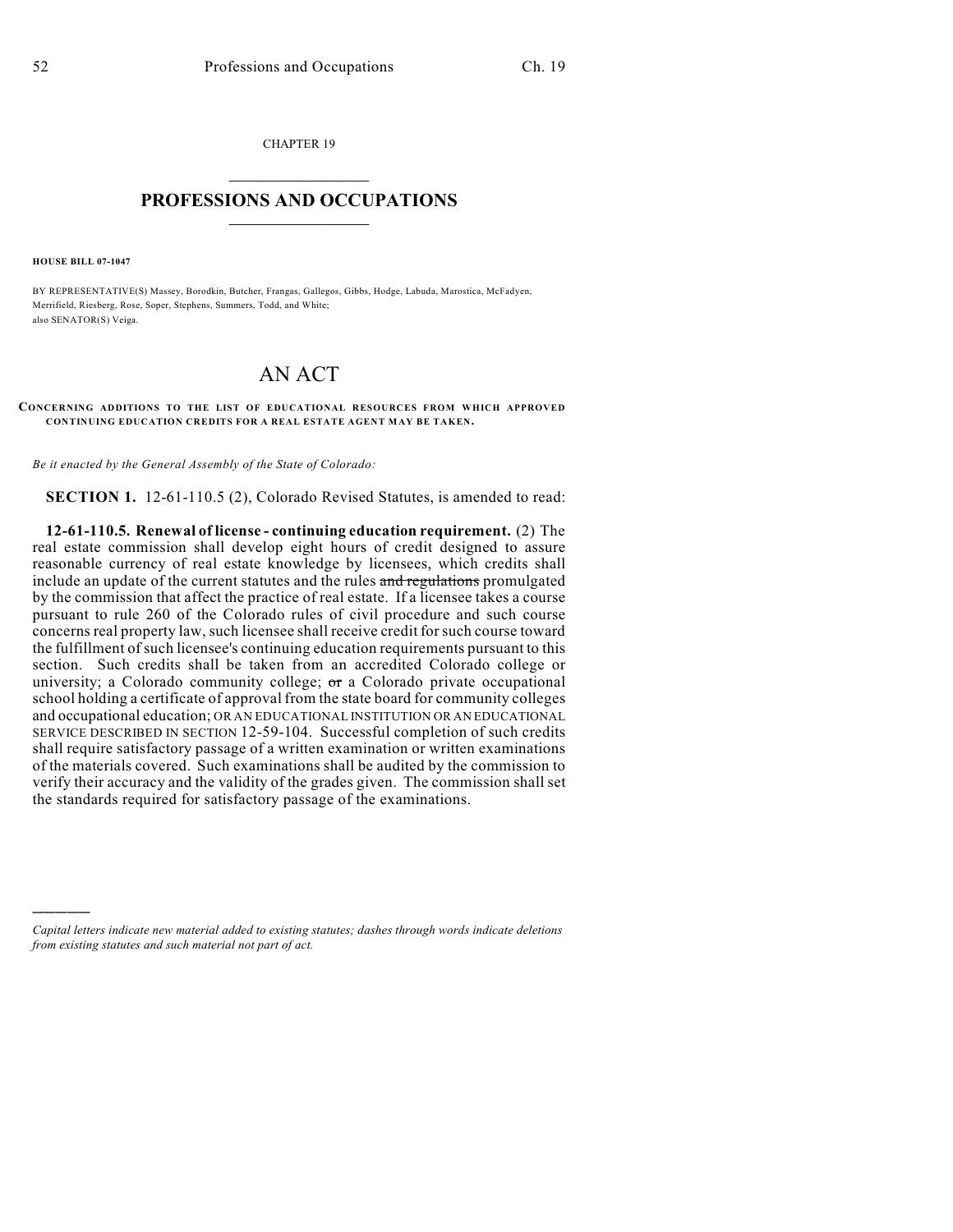CHAPTER 19  $\mathcal{L}_\text{max}$  . The set of the set of the set of the set of the set of the set of the set of the set of the set of the set of the set of the set of the set of the set of the set of the set of the set of the set of the set

## **PROFESSIONS AND OCCUPATIONS**  $\frac{1}{2}$  ,  $\frac{1}{2}$  ,  $\frac{1}{2}$  ,  $\frac{1}{2}$  ,  $\frac{1}{2}$  ,  $\frac{1}{2}$

**HOUSE BILL 07-1047**

)))))

BY REPRESENTATIVE(S) Massey, Borodkin, Butcher, Frangas, Gallegos, Gibbs, Hodge, Labuda, Marostica, McFadyen, Merrifield, Riesberg, Rose, Soper, Stephens, Summers, Todd, and White; also SENATOR(S) Veiga.

## AN ACT

## **CONCERNING ADDITIONS TO THE LIST OF EDUCATIONAL RESOURCES FROM WHICH APPROVED CONTINUING EDUCATION CREDITS FOR A REAL ESTATE AGENT MAY BE TAKEN.**

*Be it enacted by the General Assembly of the State of Colorado:*

**SECTION 1.** 12-61-110.5 (2), Colorado Revised Statutes, is amended to read:

**12-61-110.5. Renewal of license - continuing education requirement.** (2) The real estate commission shall develop eight hours of credit designed to assure reasonable currency of real estate knowledge by licensees, which credits shall include an update of the current statutes and the rules and regulations promulgated by the commission that affect the practice of real estate. If a licensee takes a course pursuant to rule 260 of the Colorado rules of civil procedure and such course concerns real property law, such licensee shall receive credit for such course toward the fulfillment of such licensee's continuing education requirements pursuant to this section. Such credits shall be taken from an accredited Colorado college or university; a Colorado community college;  $\sigma$  a Colorado private occupational school holding a certificate of approval from the state board for community colleges and occupational education; OR AN EDUCATIONAL INSTITUTION OR AN EDUCATIONAL SERVICE DESCRIBED IN SECTION 12-59-104. Successful completion of such credits shall require satisfactory passage of a written examination or written examinations of the materials covered. Such examinations shall be audited by the commission to verify their accuracy and the validity of the grades given. The commission shall set the standards required for satisfactory passage of the examinations.

*Capital letters indicate new material added to existing statutes; dashes through words indicate deletions from existing statutes and such material not part of act.*